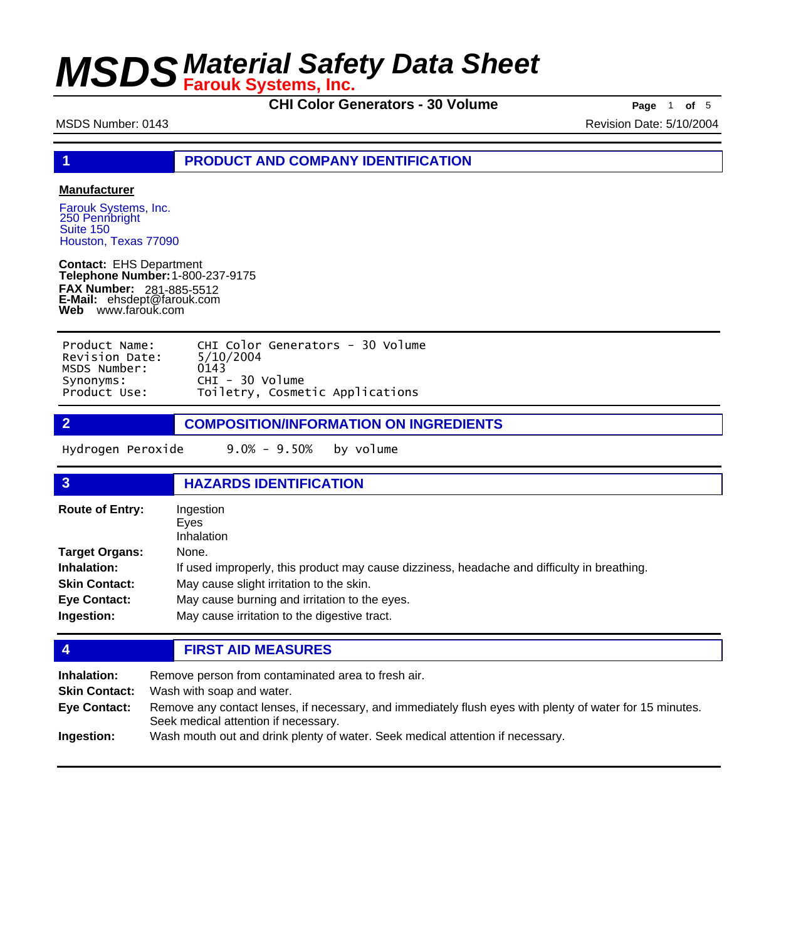**CHI Color Generators - 30 Volume Page** 1 of 5

MSDS Number: 0143 Revision Date: 5/10/2004

**1 PRODUCT AND COMPANY IDENTIFICATION**

### **Manufacturer**

Farouk Systems, Inc. 250 Pennbright Suite 150 Houston, Texas 77090

**Contact:** EHS Department **Telephone Number:** 1-800-237-9175 **FAX Number: FAX Number:** 281-885-5512<br>**E-Mail:** ehsdept@farouk.com **Web** www.farouk.com

| Product Name:  | CHI Color Generators - 30 Volume |
|----------------|----------------------------------|
| Revision Date: | 5/10/2004                        |
| MSDS Number:   | 0143                             |
| Synonyms:      | $CHI - 30$ Volume                |
| Product Use:   | Toiletry, Cosmetic Applications  |

**2 COMPOSITION/INFORMATION ON INGREDIENTS**

Hydrogen Peroxide 9.0% - 9.50% by volume

| 3                                                                                          | <b>HAZARDS IDENTIFICATION</b>                                                                                                                                                                                                                     |
|--------------------------------------------------------------------------------------------|---------------------------------------------------------------------------------------------------------------------------------------------------------------------------------------------------------------------------------------------------|
| <b>Route of Entry:</b>                                                                     | Ingestion<br>Eves<br>Inhalation                                                                                                                                                                                                                   |
| Target Organs:<br><b>Inhalation:</b><br><b>Skin Contact:</b><br>Eye Contact:<br>Ingestion: | None.<br>If used improperly, this product may cause dizziness, headache and difficulty in breathing.<br>May cause slight irritation to the skin.<br>May cause burning and irritation to the eyes.<br>May cause irritation to the digestive tract. |

### **4 FIRST AID MEASURES**

| Inhalation:<br><b>Skin Contact:</b> | Remove person from contaminated area to fresh air.<br>Wash with soap and water.                                                                  |
|-------------------------------------|--------------------------------------------------------------------------------------------------------------------------------------------------|
| <b>Eye Contact:</b>                 | Remove any contact lenses, if necessary, and immediately flush eyes with plenty of water for 15 minutes.<br>Seek medical attention if necessary. |
| Ingestion:                          | Wash mouth out and drink plenty of water. Seek medical attention if necessary.                                                                   |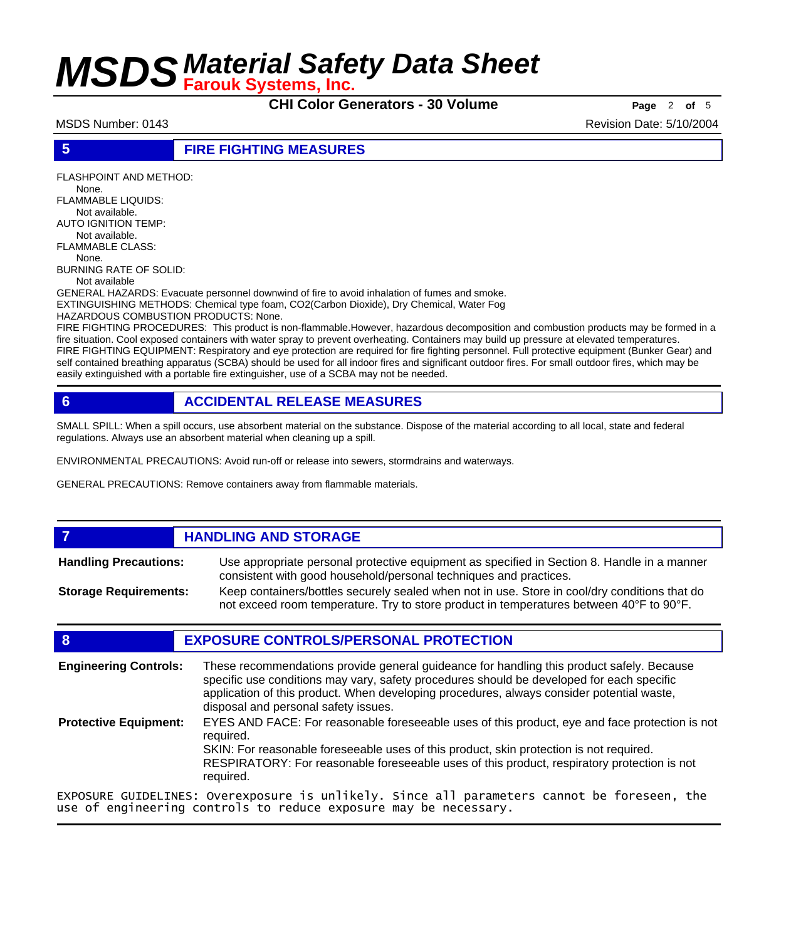**CHI Color Generators - 30 Volume Page** <sup>2</sup> **of** <sup>5</sup>

MSDS Number: 0143 Revision Date: 5/10/2004

### **5 FIRE FIGHTING MEASURES**

FLASHPOINT AND METHOD: None. FLAMMABLE LIQUIDS: Not available. AUTO IGNITION TEMP: Not available. FLAMMABLE CLASS: None. BURNING RATE OF SOLID: Not available GENERAL HAZARDS: Evacuate personnel downwind of fire to avoid inhalation of fumes and smoke. EXTINGUISHING METHODS: Chemical type foam, CO2(Carbon Dioxide), Dry Chemical, Water Fog

HAZARDOUS COMBUSTION PRODUCTS: None.

FIRE FIGHTING PROCEDURES: This product is non-flammable.However, hazardous decomposition and combustion products may be formed in a fire situation. Cool exposed containers with water spray to prevent overheating. Containers may build up pressure at elevated temperatures. FIRE FIGHTING EQUIPMENT: Respiratory and eye protection are required for fire fighting personnel. Full protective equipment (Bunker Gear) and self contained breathing apparatus (SCBA) should be used for all indoor fires and significant outdoor fires. For small outdoor fires, which may be easily extinguished with a portable fire extinguisher, use of a SCBA may not be needed.

### **6 ACCIDENTAL RELEASE MEASURES**

SMALL SPILL: When a spill occurs, use absorbent material on the substance. Dispose of the material according to all local, state and federal regulations. Always use an absorbent material when cleaning up a spill.

ENVIRONMENTAL PRECAUTIONS: Avoid run-off or release into sewers, stormdrains and waterways.

GENERAL PRECAUTIONS: Remove containers away from flammable materials.

### *HANDLING AND STORAGE* Use appropriate personal protective equipment as specified in Section 8. Handle in a manner consistent with good household/personal techniques and practices. **Handling Precautions:** Keep containers/bottles securely sealed when not in use. Store in cool/dry conditions that do not exceed room temperature. Try to store product in temperatures between 40°F to 90°F. **Storage Requirements:**

### **8 EXPOSURE CONTROLS/PERSONAL PROTECTION**

| <b>Engineering Controls:</b> | These recommendations provide general guideance for handling this product safely. Because<br>specific use conditions may vary, safety procedures should be developed for each specific<br>application of this product. When developing procedures, always consider potential waste,<br>disposal and personal safety issues. |
|------------------------------|-----------------------------------------------------------------------------------------------------------------------------------------------------------------------------------------------------------------------------------------------------------------------------------------------------------------------------|
| <b>Protective Equipment:</b> | EYES AND FACE: For reasonable foreseeable uses of this product, eye and face protection is not<br>required.<br>SKIN: For reasonable foreseeable uses of this product, skin protection is not required.<br>RESPIRATORY: For reasonable foreseeable uses of this product, respiratory protection is not<br>required.          |
|                              | EXPOSURE GUIDELINES: Overexposure is unlikely. Since all parameters cannot be foreseen, the<br>use of engineering controls to reduce exposure may be necessary.                                                                                                                                                             |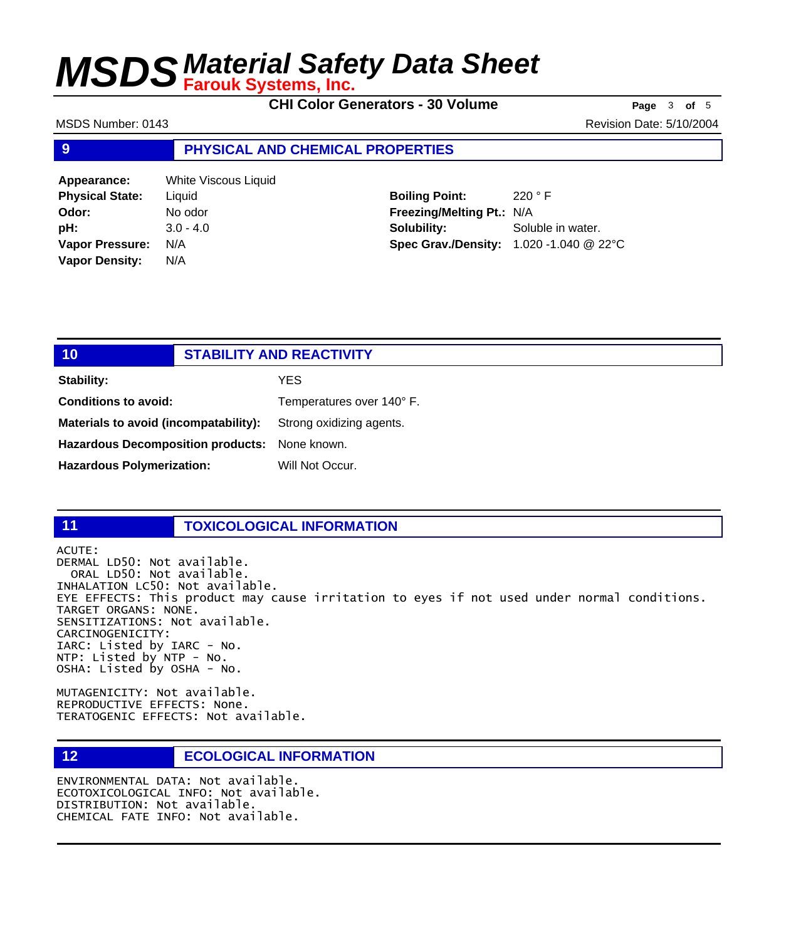**CHI Color Generators - 30 Volume Page** <sup>3</sup> **of** <sup>5</sup>

MSDS Number: 0143 Revision Date: 5/10/2004

### **9 PHYSICAL AND CHEMICAL PROPERTIES**

| Appearance:            | White Viscous Liquid |
|------------------------|----------------------|
| <b>Physical State:</b> | Liquid               |
| Odor:                  | No odor              |
| pH:                    | $3.0 - 4.0$          |
| <b>Vapor Pressure:</b> | N/A                  |
| <b>Vapor Density:</b>  | N/A                  |

**Boiling Point:** 220 ° F **Freezing/Melting Pt.:** N/A **Solubility:** Soluble in water. **Spec Grav./Density:** 1.020 -1.040 @ 22°C

| 10                                       | <b>STABILITY AND REACTIVITY</b> |
|------------------------------------------|---------------------------------|
| <b>Stability:</b>                        | YES.                            |
| <b>Conditions to avoid:</b>              | Temperatures over 140° F.       |
| Materials to avoid (incompatability):    | Strong oxidizing agents.        |
| <b>Hazardous Decomposition products:</b> | None known.                     |
| <b>Hazardous Polymerization:</b>         | Will Not Occur.                 |

### **11 TOXICOLOGICAL INFORMATION**

ACUTE: DERMAL LD50: Not available. ORAL LD50: Not available. INHALATION LC50: Not available. EYE EFFECTS: This product may cause irritation to eyes if not used under normal conditions. TARGET ORGANS: NONE. SENSITIZATIONS: Not available. CARCINOGENICITY: IARC: Listed by IARC - No. NTP: Listed by NTP - No. OSHA: Listed by OSHA - No.

MUTAGENICITY: Not available. REPRODUCTIVE EFFECTS: None. TERATOGENIC EFFECTS: Not available.

### **12 ECOLOGICAL INFORMATION**

ENVIRONMENTAL DATA: Not available. ECOTOXICOLOGICAL INFO: Not available. DISTRIBUTION: Not available. CHEMICAL FATE INFO: Not available.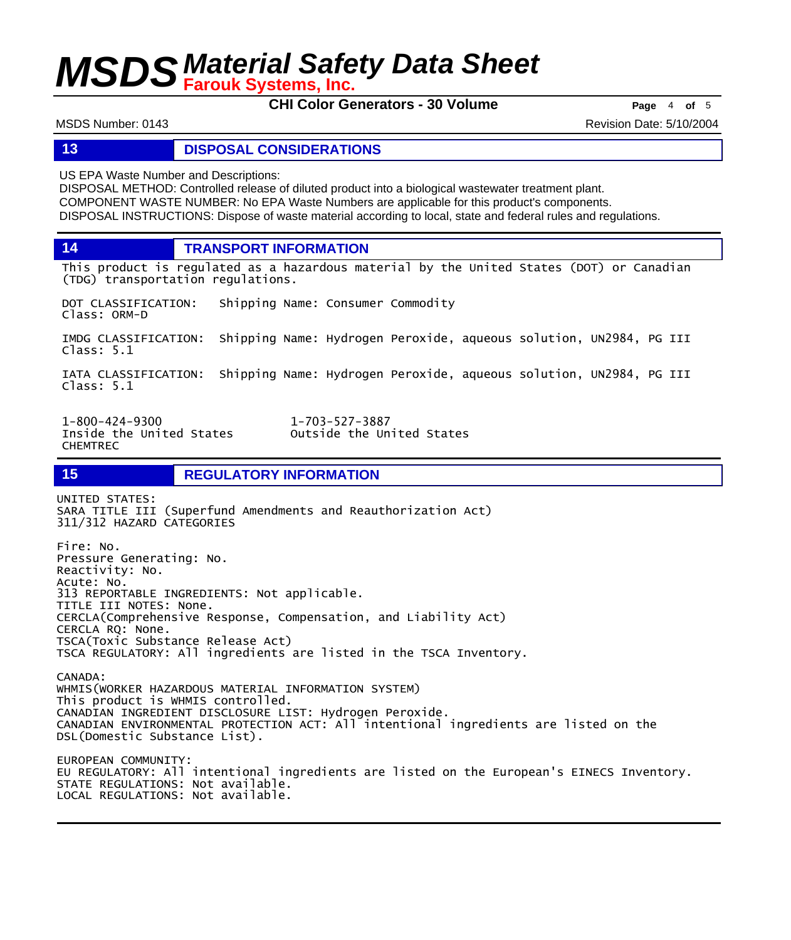**CHI Color Generators - 30 Volume Page** <sup>4</sup> **of** <sup>5</sup>

MSDS Number: 0143 Revision Date: 5/10/2004

### **13 DISPOSAL CONSIDERATIONS**

US EPA Waste Number and Descriptions:

DISPOSAL METHOD: Controlled release of diluted product into a biological wastewater treatment plant. COMPONENT WASTE NUMBER: No EPA Waste Numbers are applicable for this product's components. DISPOSAL INSTRUCTIONS: Dispose of waste material according to local, state and federal rules and regulations.

**14 TRANSPORT INFORMATION**

This product is regulated as a hazardous material by the United States (DOT) or Canadian (TDG) transportation regulations.

DOT CLASSIFICATION: Shipping Name: Consumer Commodity Class: ORM-D

IMDG CLASSIFICATION: Shipping Name: Hydrogen Peroxide, aqueous solution, UN2984, PG III Class: 5.1

IATA CLASSIFICATION: Shipping Name: Hydrogen Peroxide, aqueous solution, UN2984, PG III Class: 5.1

Inside the United States CHEMTREC

1-800-424-9300 1-703-527-3887

**15 REGULATORY INFORMATION**

UNITED STATES: SARA TITLE III (Superfund Amendments and Reauthorization Act) 311/312 HAZARD CATEGORIES

Fire: No. Pressure Generating: No. Reactivity: No. Acute: No. 313 REPORTABLE INGREDIENTS: Not applicable. TITLE III NOTES: None. CERCLA(Comprehensive Response, Compensation, and Liability Act) CERCLA RQ: None. TSCA(Toxic Substance Release Act) TSCA REGULATORY: All ingredients are listed in the TSCA Inventory.

CANADA: WHMIS(WORKER HAZARDOUS MATERIAL INFORMATION SYSTEM) This product is WHMIS controlled. CANADIAN INGREDIENT DISCLOSURE LIST: Hydrogen Peroxide. CANADIAN ENVIRONMENTAL PROTECTION ACT: All intentional ingredients are listed on the DSL(Domestic Substance List). EUROPEAN COMMUNITY:

EU REGULATORY: All intentional ingredients are listed on the European's EINECS Inventory. STATE REGULATIONS: Not available. LOCAL REGULATIONS: Not available.